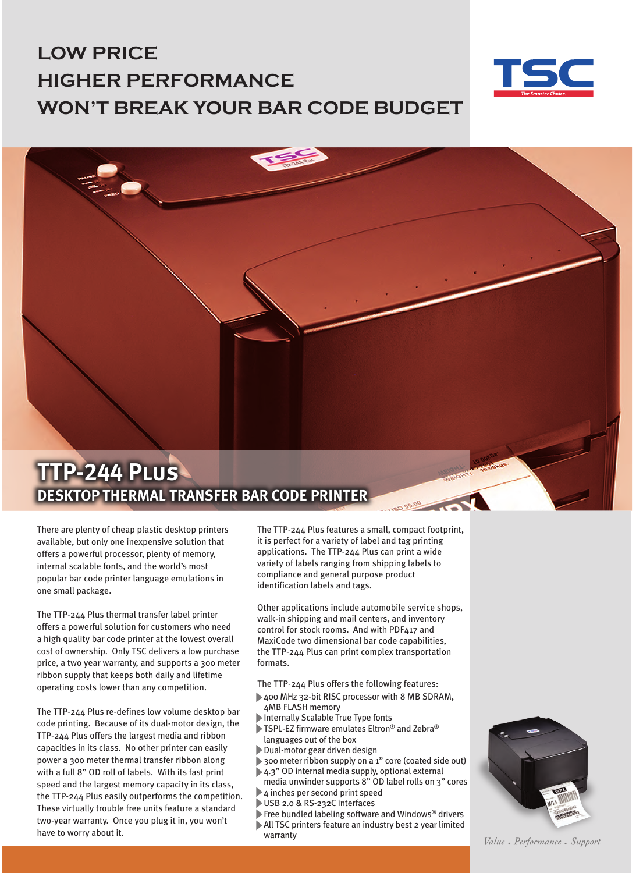## **LOW PRICE HIGHER PERFORMANCE WON'T BREAK YOUR BAR CODE BUDGET**





There are plenty of cheap plastic desktop printers available, but only one inexpensive solution that offers a powerful processor, plenty of memory, internal scalable fonts, and the world's most popular bar code printer language emulations in one small package.

The TTP-244 Plus thermal transfer label printer offers a powerful solution for customers who need a high quality bar code printer at the lowest overall cost of ownership. Only TSC delivers a low purchase price, a two year warranty, and supports a 300 meter ribbon supply that keeps both daily and lifetime operating costs lower than any competition.

The TTP-244 Plus re-defines low volume desktop bar code printing. Because of its dual-motor design, the TTP-244 Plus offers the largest media and ribbon capacities in its class. No other printer can easily power a 300 meter thermal transfer ribbon along with a full 8" OD roll of labels. With its fast print speed and the largest memory capacity in its class, the TTP-244 Plus easily outperforms the competition. These virtually trouble free units feature a standard two-year warranty. Once you plug it in, you won't have to worry about it.

 $\overline{1}$ 

The TTP-244 Plus features a small, compact footprint, it is perfect for a variety of label and tag printing applications. The TTP-244 Plus can print a wide variety of labels ranging from shipping labels to compliance and general purpose product identification labels and tags.

 $rac{20.00}{10}$ 

Other applications include automobile service shops, walk-in shipping and mail centers, and inventory control for stock rooms. And with PDF417 and MaxiCode two dimensional bar code capabilities, the TTP-244 Plus can print complex transportation formats.

The TTP-244 Plus offers the following features:

- 400 MHz 32-bit RISC processor with 8 MB SDRAM, 4MB FLASH memory
- Internally Scalable True Type fonts
- ▶ TSPL-EZ firmware emulates Eltron<sup>®</sup> and Zebra<sup>®</sup> languages out of the box
- Dual-motor gear driven design
- 300 meter ribbon supply on a 1" core (coated side out)
- 4.3" OD internal media supply, optional external
- media unwinder supports 8" OD label rolls on 3" cores 4 inches per second print speed
- USB 2.0 & RS-232C interfaces
- Free bundled labeling software and Windows<sup>®</sup> drivers
- All TSC printers feature an industry best 2 year limited warranty



Value • Performance • Support